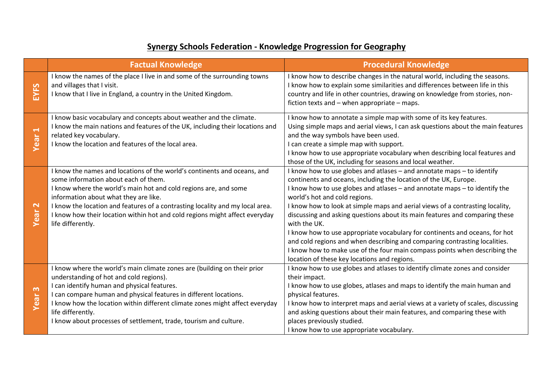## **Synergy Schools Federation - Knowledge Progression for Geography**

|                                      | <b>Factual Knowledge</b>                                                                                                                                                                                                                                                                                                                                                                                           | <b>Procedural Knowledge</b>                                                                                                                                                                                                                                                                                                                                                                                                                                                                                                                                                                                                                                                                                                          |
|--------------------------------------|--------------------------------------------------------------------------------------------------------------------------------------------------------------------------------------------------------------------------------------------------------------------------------------------------------------------------------------------------------------------------------------------------------------------|--------------------------------------------------------------------------------------------------------------------------------------------------------------------------------------------------------------------------------------------------------------------------------------------------------------------------------------------------------------------------------------------------------------------------------------------------------------------------------------------------------------------------------------------------------------------------------------------------------------------------------------------------------------------------------------------------------------------------------------|
| EYFS                                 | I know the names of the place I live in and some of the surrounding towns<br>and villages that I visit.<br>I know that I live in England, a country in the United Kingdom.                                                                                                                                                                                                                                         | I know how to describe changes in the natural world, including the seasons.<br>I know how to explain some similarities and differences between life in this<br>country and life in other countries, drawing on knowledge from stories, non-<br>fiction texts and - when appropriate - maps.                                                                                                                                                                                                                                                                                                                                                                                                                                          |
| $\blacktriangleright$<br>Year        | I know basic vocabulary and concepts about weather and the climate.<br>I know the main nations and features of the UK, including their locations and<br>related key vocabulary.<br>I know the location and features of the local area.                                                                                                                                                                             | I know how to annotate a simple map with some of its key features.<br>Using simple maps and aerial views, I can ask questions about the main features<br>and the way symbols have been used.<br>I can create a simple map with support.<br>I know how to use appropriate vocabulary when describing local features and<br>those of the UK, including for seasons and local weather.                                                                                                                                                                                                                                                                                                                                                  |
| $\mathbf{\mathsf{N}}$<br>Year        | I know the names and locations of the world's continents and oceans, and<br>some information about each of them.<br>I know where the world's main hot and cold regions are, and some<br>information about what they are like.<br>I know the location and features of a contrasting locality and my local area.<br>I know how their location within hot and cold regions might affect everyday<br>life differently. | I know how to use globes and atlases - and annotate maps - to identify<br>continents and oceans, including the location of the UK, Europe.<br>I know how to use globes and atlases - and annotate maps - to identify the<br>world's hot and cold regions.<br>I know how to look at simple maps and aerial views of a contrasting locality,<br>discussing and asking questions about its main features and comparing these<br>with the UK.<br>I know how to use appropriate vocabulary for continents and oceans, for hot<br>and cold regions and when describing and comparing contrasting localities.<br>I know how to make use of the four main compass points when describing the<br>location of these key locations and regions. |
| $\boldsymbol{\omega}$<br><b>Year</b> | I know where the world's main climate zones are (building on their prior<br>understanding of hot and cold regions).<br>I can identify human and physical features.<br>I can compare human and physical features in different locations.<br>I know how the location within different climate zones might affect everyday<br>life differently.<br>I know about processes of settlement, trade, tourism and culture.  | I know how to use globes and atlases to identify climate zones and consider<br>their impact.<br>I know how to use globes, atlases and maps to identify the main human and<br>physical features.<br>I know how to interpret maps and aerial views at a variety of scales, discussing<br>and asking questions about their main features, and comparing these with<br>places previously studied.<br>I know how to use appropriate vocabulary.                                                                                                                                                                                                                                                                                           |